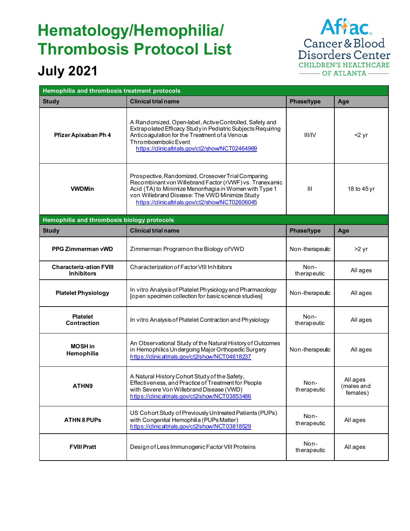## **Hematology/Hemophilia/ Thrombosis Protocol List**

## **July 2021**

Affac. Cancer & Blood<br>Disorders Center **CHILDREN'S HEALTHCARE** — OF ATLANTA —

| Hemophilia and thrombosis treatment protocols       |                                                                                                                                                                                                                                                                              |                     |                                    |  |  |
|-----------------------------------------------------|------------------------------------------------------------------------------------------------------------------------------------------------------------------------------------------------------------------------------------------------------------------------------|---------------------|------------------------------------|--|--|
| <b>Study</b>                                        | <b>Clinical trial name</b>                                                                                                                                                                                                                                                   | Phase/type          | Age                                |  |  |
| Pfizer Apixaban Ph 4                                | A Randomized, Open-label, Active Controlled, Safety and<br>Extrapolated Efficacy Study in Pediatric Subjects Requiring<br>Anticoagulation for the Treatment of a Venous<br>Thromboembolic Event<br>https://clinicaltrials.gov/ct2/show/NCT02464969                           | <b>III/IV</b>       | $2$ yr                             |  |  |
| <b>VWDMin</b>                                       | Prospective, Randomized, Crossover Trial Comparing<br>Recombinant von Willebrand Factor (rVWF) vs. Tranexamic<br>Acid (TA) to Minimize Menorrhagia in Women with Type 1<br>von Willebrand Disease: The VWD Minimize Study<br>https://clinicaltrials.gov/ct2/show/NCT02606045 | III                 | 18 to 45 yr                        |  |  |
| Hemophilia and thrombosis biology protocols         |                                                                                                                                                                                                                                                                              |                     |                                    |  |  |
| <b>Study</b>                                        | <b>Clinical trial name</b>                                                                                                                                                                                                                                                   | Phase/type          | Age                                |  |  |
| <b>PPG Zimmerman vWD</b>                            | Zimmerman Programon the Biology of VWD                                                                                                                                                                                                                                       | Non-therapeutic     | >2 yr                              |  |  |
| <b>Characteriz-ation FVIII</b><br><b>Inhibitors</b> | Characterization of Factor VIII Inhibitors                                                                                                                                                                                                                                   | Non-<br>therapeutic | All ages                           |  |  |
| <b>Platelet Physiology</b>                          | In vitro Analysis of Platelet Physiology and Pharmacology<br>[open specimen collection for basic science studies]                                                                                                                                                            | Non-therapeutic     | All ages                           |  |  |
| <b>Platelet</b><br><b>Contraction</b>               | In vitro Analysis of Platelet Contraction and Physiology                                                                                                                                                                                                                     | Non-<br>therapeutic | All ages                           |  |  |
| <b>MOSH</b> in<br>Hemophilia                        | An Observational Study of the Natural History of Outcomes<br>in Hemophilics Undergoing Major Orthopedic Surgery<br>https://clinicaltrials.gov/ct2/show/NCT04618237                                                                                                           | Non-therapeutic     | All ages                           |  |  |
| ATHN9                                               | A Natural History Cohort Study of the Safety,<br>Effectiveness, and Practice of Treatment for People<br>with Severe Von Willebrand Disease (VWD)<br>https://clinicaltrials.gov/ct2/show/NCT03853486                                                                          | Non-<br>therapeutic | All ages<br>(males and<br>females) |  |  |
| <b>ATHN 8 PUPS</b>                                  | US Cohort Study of Previously Untreated Patients (PUPs)<br>with Congenital Hemophilia (PUPs Matter)<br>https://clinicaltrials.gov/ct2/show/NCT03818529                                                                                                                       | Non-<br>therapeutic | All ages                           |  |  |
| <b>FVIII Pratt</b>                                  | Design of Less Immunogenic Factor VIII Proteins                                                                                                                                                                                                                              | Non-<br>therapeutic | All ages                           |  |  |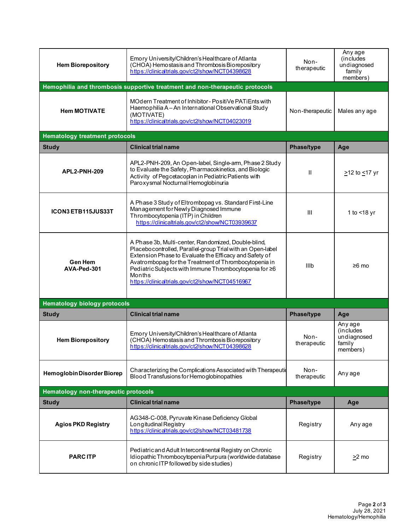| <b>Hem Biorepository</b>              | Emory University/Children's Healthcare of Atlanta<br>(CHOA) Hemostasis and Thrombosis Biorepository<br>https://clinicaltrials.gov/ct2/show/NCT04398628                                                                                                                                                                                                      | Non-<br>therapeutic | Any age<br>(includes<br>undiagnosed<br>family<br>members) |  |  |
|---------------------------------------|-------------------------------------------------------------------------------------------------------------------------------------------------------------------------------------------------------------------------------------------------------------------------------------------------------------------------------------------------------------|---------------------|-----------------------------------------------------------|--|--|
|                                       | Hemophilia and thrombosis supportive treatment and non-therapeutic protocols                                                                                                                                                                                                                                                                                |                     |                                                           |  |  |
| <b>Hem MOTIVATE</b>                   | MOdern Treatment of Inhibitor - PositiVe PATiEnts with<br>Haemophilia A - An International Observational Study<br>(MOTIVATE)<br>https://clinicaltrials.gov/ct2/show/NCT04023019                                                                                                                                                                             | Non-therapeutic     | Males any age                                             |  |  |
| <b>Hematology treatment protocols</b> |                                                                                                                                                                                                                                                                                                                                                             |                     |                                                           |  |  |
| <b>Study</b>                          | <b>Clinical trial name</b>                                                                                                                                                                                                                                                                                                                                  | Phase/type          | Age                                                       |  |  |
| APL2-PNH-209                          | APL2-PNH-209, An Open-label, Single-arm, Phase 2 Study<br>to Evaluate the Safety, Pharmacokinetics, and Biologic<br>Activity of Pegcetacoplan in Pediatric Patients with<br>Paroxysmal Nocturnal Hemoglobinuria                                                                                                                                             | $\mathbf{I}$        | ≥12 to <u>&lt;</u> 17 yr                                  |  |  |
| ICON3 ETB115JUS33T                    | A Phase 3 Study of Eltrombopag vs. Standard First-Line<br>Management for Newly Diagnosed Immune<br>Thrombocytopenia (ITP) in Children<br>https://clinicaltrials.gov/ct2/show/NCT03939637                                                                                                                                                                    | III                 | 1 to $<$ 18 yr                                            |  |  |
| <b>Gen Hem</b><br>AVA-Ped-301         | A Phase 3b, Multi-center, Randomized, Double-blind,<br>Placebocontrolled, Parallel-group Trial with an Open-label<br>Extension Phase to Evaluate the Efficacy and Safety of<br>Avatrombopag for the Treatment of Thrombocytopenia in<br>Pediatric Subjects with Immune Thrombocytopenia for ≥6<br>Months<br>https://clinicaltrials.gov/ct2/show/NCT04516967 | Illb                | $≥6$ mo                                                   |  |  |
| <b>Hematology biology protocols</b>   |                                                                                                                                                                                                                                                                                                                                                             |                     |                                                           |  |  |
| <b>Study</b>                          | <b>Clinical trial name</b>                                                                                                                                                                                                                                                                                                                                  | Phase/type          | Age                                                       |  |  |
| <b>Hem Biorepository</b>              | Emory University/Children's Healthcare of Atlanta<br>(CHOA) Hemostasis and Thrombosis Biorepository<br>https://clinicaltrials.gov/ct2/show/NCT04398628                                                                                                                                                                                                      | Non-<br>therapeutic | Any age<br>(includes<br>undiagnosed<br>family<br>members) |  |  |
| Hemoglobin Disorder Biorep            | Characterizing the Complications Associated with Therapeutic<br>Blood Transfusions for Hemoglobinopathies                                                                                                                                                                                                                                                   | Non-<br>therapeutic | Any age                                                   |  |  |
| Hematology non-therapeutic protocols  |                                                                                                                                                                                                                                                                                                                                                             |                     |                                                           |  |  |
| <b>Study</b>                          | <b>Clinical trial name</b>                                                                                                                                                                                                                                                                                                                                  | Phase/type          | Age                                                       |  |  |
| <b>Agios PKD Registry</b>             | AG348-C-008, Pyruvate Kinase Deficiency Global<br>Longitudinal Registry<br>https://clinicaltrials.gov/ct2/show/NCT03481738                                                                                                                                                                                                                                  | Registry            | Any age                                                   |  |  |
| <b>PARCITP</b>                        | Pediatric and Adult Intercontinental Registry on Chronic<br>Idiopathic Thrombocytopenia Purpura (worldwide database<br>on chronic ITP followed by side studies)                                                                                                                                                                                             | Registry            | >2 mo                                                     |  |  |